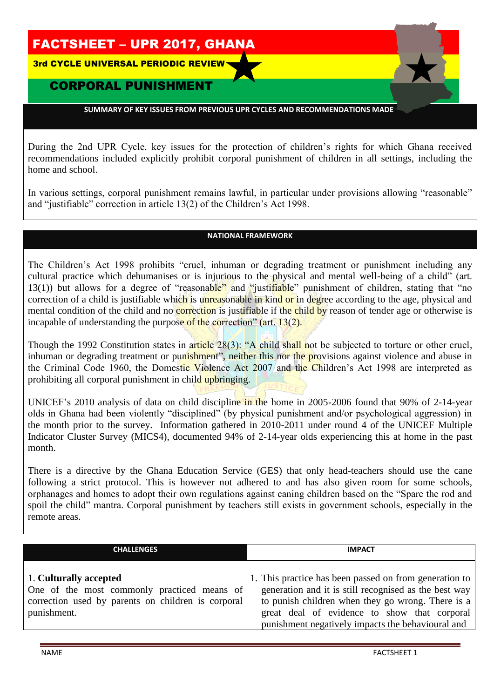# FACTSHEET – UPR 2017, GHANA

3rd CYCLE UNIVERSAL PERIODIC REVIEW

## **CORPORAL PUNISHME**

 **SUMMARY OF KEY ISSUES FROM PREVIOUS UPR CYCLES AND RECOMMENDATIONS MADE**  THEME HERE :

During the 2nd UPR Cycle, key issues for the protection of children's rights for which Ghana received recommendations included explicitly prohibit corporal punishment of children in all settings, including the home and school.

In various settings, corporal punishment remains lawful, in particular under provisions allowing "reasonable" and "justifiable" correction in article 13(2) of the Children's Act 1998.

#### **NATIONAL FRAMEWORK**

The Children's Act 1998 prohibits "cruel, inhuman or degrading treatment or punishment including any cultural practice which dehumanises or is injurious to the physical and mental well-being of a child" (art. 13(1)) but allows for a degree of "reasonable" and "justifiable" punishment of children, stating that "no correction of a child is justifiable which is unreasonable in kind or in degree according to the age, physical and mental condition of the child and no **correction** is justifiable if the child by reason of tender age or otherwise is incapable of understanding the purpose of the correction" (art. 13(2).

Though the 1992 Constitution states in article 28(3): "A child shall not be subjected to torture or other cruel, inhuman or degrading treatment or punishment", neither this nor the provisions against violence and abuse in the Criminal Code 1960, the Domestic Violence Act 2007 and the Children's Act 1998 are interpreted as prohibiting all corporal punishment in child upbringing.

UNICEF's 2010 analysis of data on child discipline in the home in 2005-2006 found that 90% of 2-14-year olds in Ghana had been violently "disciplined" (by physical punishment and/or psychological aggression) in the month prior to the survey. Information gathered in 2010-2011 under round 4 of the UNICEF Multiple Indicator Cluster Survey (MICS4), documented 94% of 2-14-year olds experiencing this at home in the past month.

There is a directive by the Ghana Education Service (GES) that only head-teachers should use the cane following a strict protocol. This is however not adhered to and has also given room for some schools, orphanages and homes to adopt their own regulations against caning children based on the "Spare the rod and spoil the child" mantra. Corporal punishment by teachers still exists in government schools, especially in the remote areas.

| <b>CHALLENGES</b> | <b>IMPACT</b> |
|-------------------|---------------|
|                   |               |

### 1. **Culturally accepted**

One of the most commonly practiced means of correction used by parents on children is corporal punishment.

1. This practice has been passed on from generation to generation and it is still recognised as the best way to punish children when they go wrong. There is a great deal of evidence to show that corporal punishment negatively impacts the behavioural and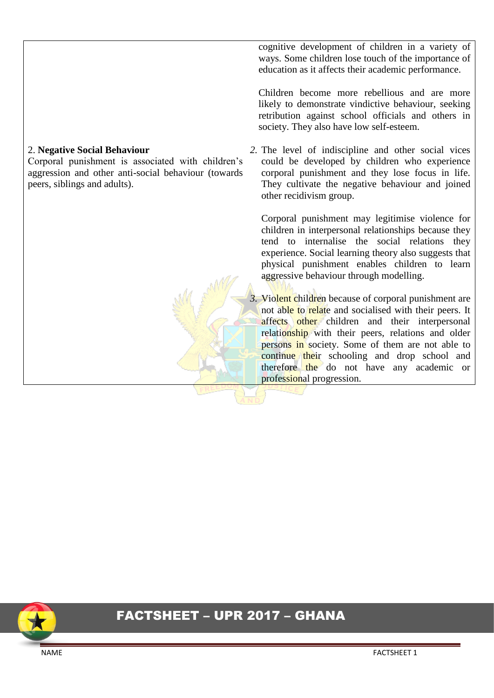### 2. **Negative Social Behaviour**

Corporal punishment is associated with children's aggression and other anti-social behaviour (towards peers, siblings and adults).

cognitive development of children in a variety of ways. Some children lose touch of the importance of education as it affects their academic performance.

Children become more rebellious and are more likely to demonstrate vindictive behaviour, seeking retribution against school officials and others in society. They also have low self-esteem.

*2.* The level of indiscipline and other social vices could be developed by children who experience corporal punishment and they lose focus in life. They cultivate the negative behaviour and joined other recidivism group.

Corporal punishment may legitimise violence for children in interpersonal relationships because they tend to internalise the social relations they experience. Social learning theory also suggests that physical punishment enables children to learn aggressive behaviour through modelling.

*3.* Violent children because of corporal punishment are not able to relate and socialised with their peers. It affects other children and their interpersonal relationship with their peers, relations and older persons in society. Some of them are not able to continue their schooling and drop school and therefore the do not have any academic or professional progression.

# FACTSHEET – UPR 2017 – GHANA